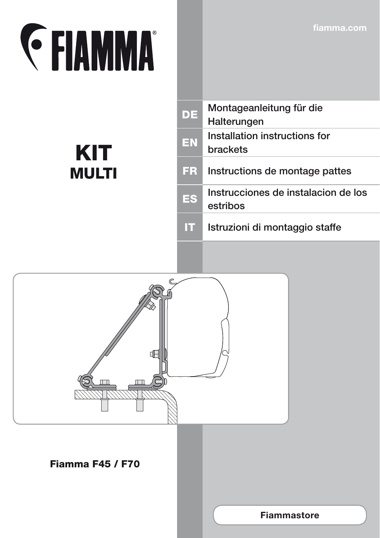**fiamma.com**

## **EXAMMA**

KIT

MULTI

| DE   | Montageanleitung für die<br>Halterungen          |
|------|--------------------------------------------------|
| EN   | Installation instructions for<br><b>brackets</b> |
| FR.  | Instructions de montage pattes                   |
| ES   | Instrucciones de instalacion de los<br>estribos  |
| l II | Istruzioni di montaggio staffe                   |
|      |                                                  |

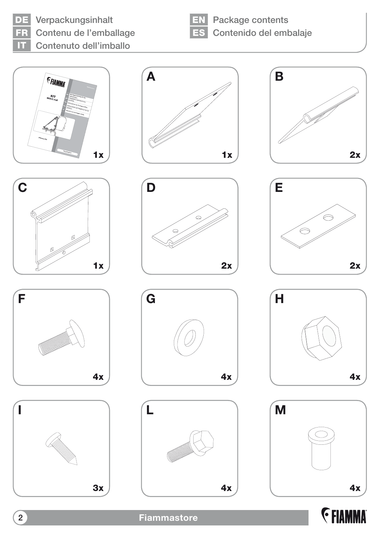## DE Verpackungsinhalt

Contenu de l'emballage

IT Contenuto dell'imballo

**EN** Package contents ES Contenido del embalaje



























2 **Fiammastore**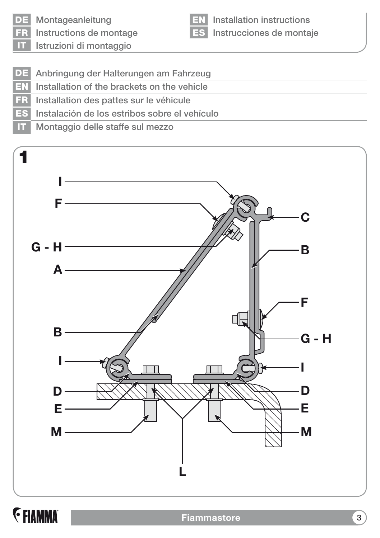DE Montageanleitung

Instructions de montage

EN Installation instructions ES Instrucciones de montaje

Istruzioni di montaggio

- DE Anbringung der Halterungen am Fahrzeug
- EN Installation of the brackets on the vehicle
- FR Installation des pattes sur le véhicule
- ES Instalación de los estribos sobre el vehículo
- IT Montaggio delle staffe sul mezzo



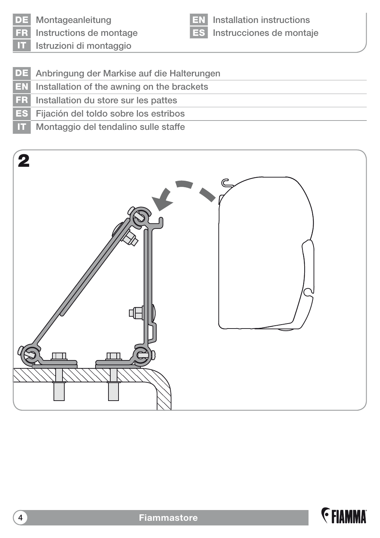

DE Montageanleitung

Instructions de montage

Installation instructions ES Instrucciones de montaje

Istruzioni di montaggio

- DE Anbringung der Markise auf die Halterungen
- EN Installation of the awning on the brackets
- FR Installation du store sur les pattes
- ES Fijación del toldo sobre los estribos
- IT Montaggio del tendalino sulle staffe



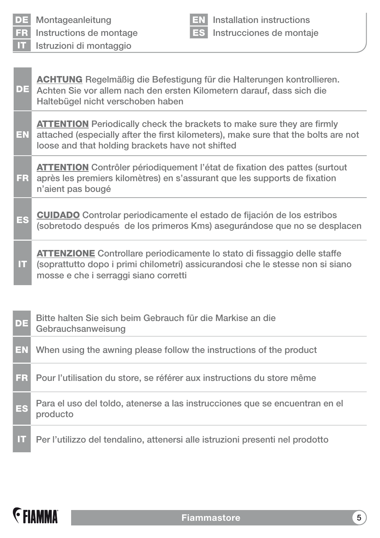| m         | Istruzioni di montaggio                                                                                                                                                                                                 |  |  |  |
|-----------|-------------------------------------------------------------------------------------------------------------------------------------------------------------------------------------------------------------------------|--|--|--|
|           |                                                                                                                                                                                                                         |  |  |  |
| DE        | <b>ACHTUNG</b> Regelmäßig die Befestigung für die Halterungen kontrollieren.<br>Achten Sie vor allem nach den ersten Kilometern darauf, dass sich die<br>Haltebügel nicht verschoben haben                              |  |  |  |
| EN        | <b>ATTENTION</b> Periodically check the brackets to make sure they are firmly<br>attached (especially after the first kilometers), make sure that the bolts are not<br>loose and that holding brackets have not shifted |  |  |  |
| <b>FR</b> | <b>ATTENTION</b> Contrôler périodiquement l'état de fixation des pattes (surtout<br>après les premiers kilomètres) en s'assurant que les supports de fixation<br>n'aient pas bougé                                      |  |  |  |
| <b>ES</b> | <b>CUIDADO</b> Controlar periodicamente el estado de fijación de los estribos<br>(sobretodo después de los primeros Kms) asegurándose que no se desplacen                                                               |  |  |  |
| Ш         | <b>ATTENZIONE</b> Controllare periodicamente lo stato di fissaggio delle staffe<br>(soprattutto dopo i primi chilometri) assicurandosi che le stesse non si siano<br>mosse e che i serraggi siano corretti              |  |  |  |
|           |                                                                                                                                                                                                                         |  |  |  |
| DE        | Bitte halten Sie sich beim Gebrauch für die Markise an die<br>Gebrauchsanweisung                                                                                                                                        |  |  |  |
| EN        | When using the awning please follow the instructions of the product                                                                                                                                                     |  |  |  |
| <b>FR</b> | Pour l'utilisation du store, se référer aux instructions du store même                                                                                                                                                  |  |  |  |
| ES        | Para el uso del toldo, atenerse a las instrucciones que se encuentran en el<br>producto                                                                                                                                 |  |  |  |
| π         | Per l'utilizzo del tendalino, attenersi alle istruzioni presenti nel prodotto                                                                                                                                           |  |  |  |

EN Installation instructions ES Instrucciones de montaje



DE Montageanleitung

FR Instructions de montage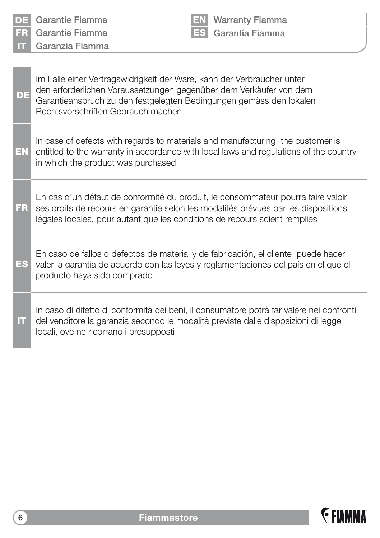| DE  | Garantie Fiamma                                                                                                                                                                                                                                           | EN, | <b>Warranty Fiamma</b> |  |  |  |
|-----|-----------------------------------------------------------------------------------------------------------------------------------------------------------------------------------------------------------------------------------------------------------|-----|------------------------|--|--|--|
| FR. | Garantie Fiamma                                                                                                                                                                                                                                           | ES  | Garantía Fiamma        |  |  |  |
| П   | Garanzia Fiamma                                                                                                                                                                                                                                           |     |                        |  |  |  |
|     |                                                                                                                                                                                                                                                           |     |                        |  |  |  |
| DE  | Im Falle einer Vertragswidrigkeit der Ware, kann der Verbraucher unter<br>den erforderlichen Voraussetzungen gegenüber dem Verkäufer von dem<br>Garantieanspruch zu den festgelegten Bedingungen gemäss den lokalen<br>Rechtsvorschriften Gebrauch machen |     |                        |  |  |  |
| EN  | In case of defects with regards to materials and manufacturing, the customer is<br>entitled to the warranty in accordance with local laws and regulations of the country<br>in which the product was purchased                                            |     |                        |  |  |  |
| FR  | En cas d'un défaut de conformité du produit, le consommateur pourra faire valoir<br>ses droits de recours en garantie selon les modalités prévues par les dispositions<br>légales locales, pour autant que les conditions de recours soient remplies      |     |                        |  |  |  |
| ES  | En caso de fallos o defectos de material y de fabricación, el cliente puede hacer<br>valer la garantía de acuerdo con las leyes y reglamentaciones del país en el que el<br>producto haya sido comprado                                                   |     |                        |  |  |  |
| π   | In caso di difetto di conformità dei beni, il consumatore potrà far valere nei confronti<br>del venditore la garanzia secondo le modalità previste dalle disposizioni di legge<br>locali, ove ne ricorrano i presupposti                                  |     |                        |  |  |  |



 $\overline{1}$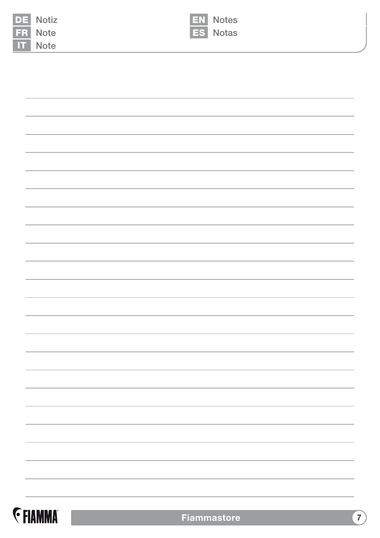| FR                 | <b>DE</b> Notiz<br>Note | EN Notes<br>ES Notas |
|--------------------|-------------------------|----------------------|
| $\boldsymbol{\Pi}$ | Note                    |                      |
|                    |                         |                      |
|                    |                         |                      |
|                    |                         |                      |
|                    |                         |                      |
|                    |                         |                      |
|                    |                         |                      |
|                    |                         |                      |
|                    |                         |                      |
|                    |                         |                      |
|                    |                         |                      |
|                    |                         |                      |
|                    |                         |                      |
|                    |                         |                      |
|                    |                         |                      |
|                    |                         |                      |
|                    |                         |                      |
|                    |                         |                      |
|                    |                         |                      |
|                    |                         |                      |
|                    |                         |                      |
|                    |                         |                      |
|                    |                         |                      |
|                    |                         |                      |
|                    |                         |                      |
|                    |                         |                      |
|                    |                         |                      |
|                    |                         |                      |
|                    |                         |                      |
|                    |                         |                      |
|                    |                         |                      |
|                    |                         |                      |

**E** FIAMMA

**Fiammastore** 7